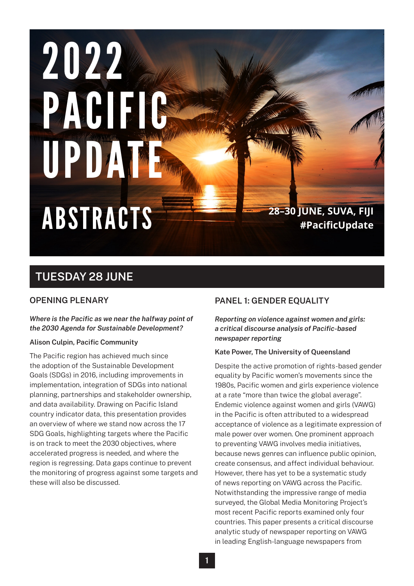# 2022 PACIFIC UPDATE **28–30 JUNE, SUVA, FIJI** ABSTRACTS **#PacificUpdate**

# **TUESDAY 28 JUNE**

# **OPENING PLENARY**

# *Where is the Pacific as we near the halfway point of the 2030 Agenda for Sustainable Development?*

# **Alison Culpin, Pacific Community**

The Pacific region has achieved much since the adoption of the Sustainable Development Goals (SDGs) in 2016, including improvements in implementation, integration of SDGs into national planning, partnerships and stakeholder ownership, and data availability. Drawing on Pacific Island country indicator data, this presentation provides an overview of where we stand now across the 17 SDG Goals, highlighting targets where the Pacific is on track to meet the 2030 objectives, where accelerated progress is needed, and where the region is regressing. Data gaps continue to prevent the monitoring of progress against some targets and these will also be discussed.

# **PANEL 1: GENDER EQUALITY**

*Reporting on violence against women and girls: a critical discourse analysis of Pacific-based newspaper reporting*

# **Kate Power, The University of Queensland**

Despite the active promotion of rights-based gender equality by Pacific women's movements since the 1980s, Pacific women and girls experience violence at a rate "more than twice the global average". Endemic violence against women and girls (VAWG) in the Pacific is often attributed to a widespread acceptance of violence as a legitimate expression of male power over women. One prominent approach to preventing VAWG involves media initiatives, because news genres can influence public opinion, create consensus, and affect individual behaviour. However, there has yet to be a systematic study of news reporting on VAWG across the Pacific. Notwithstanding the impressive range of media surveyed, the Global Media Monitoring Project's most recent Pacific reports examined only four countries. This paper presents a critical discourse analytic study of newspaper reporting on VAWG in leading English-language newspapers from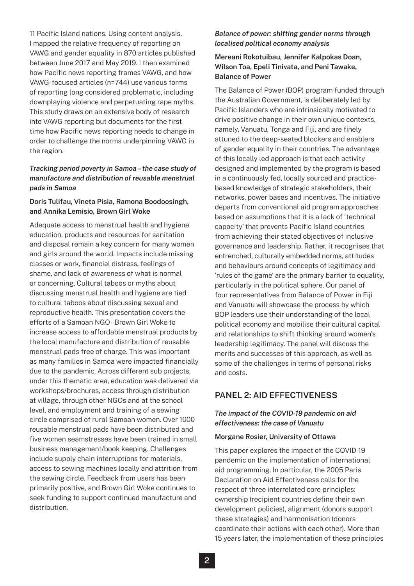11 Pacific Island nations. Using content analysis, I mapped the relative frequency of reporting on VAWG and gender equality in 870 articles published between June 2017 and May 2019. I then examined how Pacific news reporting frames VAWG, and how VAWG-focused articles (n=744) use various forms of reporting long considered problematic, including downplaying violence and perpetuating rape myths. This study draws on an extensive body of research into VAWG reporting but documents for the first time how Pacific news reporting needs to change in order to challenge the norms underpinning VAWG in the region.

# *Tracking period poverty in Samoa – the case study of manufacture and distribution of reusable menstrual pads in Samoa*

# **Doris Tulifau, Vineta Pisia, Ramona Boodoosingh, and Annika Lemisio, Brown Girl Woke**

Adequate access to menstrual health and hygiene education, products and resources for sanitation and disposal remain a key concern for many women and girls around the world. Impacts include missing classes or work, financial distress, feelings of shame, and lack of awareness of what is normal or concerning. Cultural taboos or myths about discussing menstrual health and hygiene are tied to cultural taboos about discussing sexual and reproductive health. This presentation covers the efforts of a Samoan NGO –Brown Girl Woke to increase access to affordable menstrual products by the local manufacture and distribution of reusable menstrual pads free of charge. This was important as many families in Samoa were impacted financially due to the pandemic. Across different sub projects, under this thematic area, education was delivered via workshops/brochures, access through distribution at village, through other NGOs and at the school level, and employment and training of a sewing circle comprised of rural Samoan women. Over 1000 reusable menstrual pads have been distributed and five women seamstresses have been trained in small business management/book keeping. Challenges include supply chain interruptions for materials, access to sewing machines locally and attrition from the sewing circle. Feedback from users has been primarily positive, and Brown Girl Woke continues to seek funding to support continued manufacture and distribution.

# *Balance of power: shifting gender norms through localised political economy analysis*

# **Mereani Rokotuibau, Jennifer Kalpokas Doan, Wilson Toa, Epeli Tinivata, and Peni Tawake, Balance of Power**

The Balance of Power (BOP) program funded through the Australian Government, is deliberately led by Pacific Islanders who are intrinsically motivated to drive positive change in their own unique contexts, namely, Vanuatu, Tonga and Fiji, and are finely attuned to the deep-seated blockers and enablers of gender equality in their countries. The advantage of this locally led approach is that each activity designed and implemented by the program is based in a continuously fed, locally sourced and practicebased knowledge of strategic stakeholders, their networks, power bases and incentives. The initiative departs from conventional aid program approaches based on assumptions that it is a lack of 'technical capacity' that prevents Pacific Island countries from achieving their stated objectives of inclusive governance and leadership. Rather, it recognises that entrenched, culturally embedded norms, attitudes and behaviours around concepts of legitimacy and 'rules of the game' are the primary barrier to equality, particularly in the political sphere. Our panel of four representatives from Balance of Power in Fiji and Vanuatu will showcase the process by which BOP leaders use their understanding of the local political economy and mobilise their cultural capital and relationships to shift thinking around women's leadership legitimacy. The panel will discuss the merits and successes of this approach, as well as some of the challenges in terms of personal risks and costs.

# **PANEL 2: AID EFFECTIVENESS**

# *The impact of the COVID-19 pandemic on aid effectiveness: the case of Vanuatu*

#### **Morgane Rosier, University of Ottawa**

This paper explores the impact of the COVID-19 pandemic on the implementation of international aid programming. In particular, the 2005 Paris Declaration on Aid Effectiveness calls for the respect of three interrelated core principles: ownership (recipient countries define their own development policies), alignment (donors support these strategies) and harmonisation (donors coordinate their actions with each other). More than 15 years later, the implementation of these principles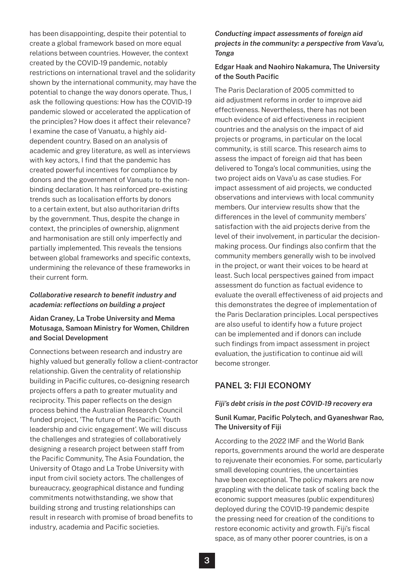has been disappointing, despite their potential to create a global framework based on more equal relations between countries. However, the context created by the COVID-19 pandemic, notably restrictions on international travel and the solidarity shown by the international community, may have the potential to change the way donors operate. Thus, I ask the following questions: How has the COVID-19 pandemic slowed or accelerated the application of the principles? How does it affect their relevance? I examine the case of Vanuatu, a highly aiddependent country. Based on an analysis of academic and grey literature, as well as interviews with key actors, I find that the pandemic has created powerful incentives for compliance by donors and the government of Vanuatu to the nonbinding declaration. It has reinforced pre-existing trends such as localisation efforts by donors to a certain extent, but also authoritarian drifts by the government. Thus, despite the change in context, the principles of ownership, alignment and harmonisation are still only imperfectly and partially implemented. This reveals the tensions between global frameworks and specific contexts, undermining the relevance of these frameworks in their current form.

## *Collaborative research to benefit industry and academia: reflections on building a project*

# **Aidan Craney, La Trobe University and Mema Motusaga, Samoan Ministry for Women, Children and Social Development**

Connections between research and industry are highly valued but generally follow a client-contractor relationship. Given the centrality of relationship building in Pacific cultures, co-designing research projects offers a path to greater mutuality and reciprocity. This paper reflects on the design process behind the Australian Research Council funded project, 'The future of the Pacific: Youth leadership and civic engagement'. We will discuss the challenges and strategies of collaboratively designing a research project between staff from the Pacific Community, The Asia Foundation, the University of Otago and La Trobe University with input from civil society actors. The challenges of bureaucracy, geographical distance and funding commitments notwithstanding, we show that building strong and trusting relationships can result in research with promise of broad benefits to industry, academia and Pacific societies.

# *Conducting impact assessments of foreign aid projects in the community: a perspective from Vava'u, Tonga*

# **Edgar Haak and Naohiro Nakamura, The University of the South Pacific**

The Paris Declaration of 2005 committed to aid adjustment reforms in order to improve aid effectiveness. Nevertheless, there has not been much evidence of aid effectiveness in recipient countries and the analysis on the impact of aid projects or programs, in particular on the local community, is still scarce. This research aims to assess the impact of foreign aid that has been delivered to Tonga's local communities, using the two project aids on Vava'u as case studies. For impact assessment of aid projects, we conducted observations and interviews with local community members. Our interview results show that the differences in the level of community members' satisfaction with the aid projects derive from the level of their involvement, in particular the decisionmaking process. Our findings also confirm that the community members generally wish to be involved in the project, or want their voices to be heard at least. Such local perspectives gained from impact assessment do function as factual evidence to evaluate the overall effectiveness of aid projects and this demonstrates the degree of implementation of the Paris Declaration principles. Local perspectives are also useful to identify how a future project can be implemented and if donors can include such findings from impact assessment in project evaluation, the justification to continue aid will become stronger.

# **PANEL 3: FIJI ECONOMY**

# *Fiji's debt crisis in the post COVID-19 recovery era*

# **Sunil Kumar, Pacific Polytech, and Gyaneshwar Rao, The University of Fiji**

According to the 2022 IMF and the World Bank reports, governments around the world are desperate to rejuvenate their economies. For some, particularly small developing countries, the uncertainties have been exceptional. The policy makers are now grappling with the delicate task of scaling back the economic support measures (public expenditures) deployed during the COVID-19 pandemic despite the pressing need for creation of the conditions to restore economic activity and growth. Fiji's fiscal space, as of many other poorer countries, is on a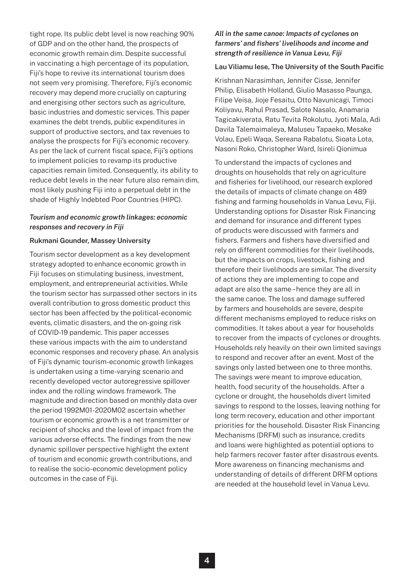tight rope. Its public debt level is now reaching 90% of GDP and on the other hand, the prospects of economic growth remain dim. Despite successful in vaccinating a high percentage of its population, Fiji's hope to revive its international tourism does not seem very promising. Therefore, Fiji's economic recovery may depend more crucially on capturing and energising other sectors such as agriculture, basic industries and domestic services. This paper examines the debt trends, public expenditures in support of productive sectors, and tax revenues to analyse the prospects for Fiji's economic recovery. As per the lack of current fiscal space, Fiji's options to implement policies to revamp its productive capacities remain limited. Consequently, its ability to reduce debt levels in the near future also remain dim, most likely pushing Fiji into a perpetual debt in the shade of Highly Indebted Poor Countries (HIPC).

# *Tourism and economic growth linkages: economic responses and recovery in Fiji*

#### **Rukmani Gounder, Massey University**

Tourism sector development as a key development strategy adopted to enhance economic growth in Fiji focuses on stimulating business, investment, employment, and entrepreneurial activities. While the tourism sector has surpassed other sectors in its overall contribution to gross domestic product this sector has been affected by the political-economic events, climatic disasters, and the on-going risk of COVID-19 pandemic. This paper accesses these various impacts with the aim to understand economic responses and recovery phase. An analysis of Fiji's dynamic tourism-economic growth linkages is undertaken using a time-varying scenario and recently developed vector autoregressive spillover index and the rolling windows framework. The magnitude and direction based on monthly data over the period 1992M01-2020M02 ascertain whether tourism or economic growth is a net transmitter or recipient of shocks and the level of impact from the various adverse effects. The findings from the new dynamic spillover perspective highlight the extent of tourism and economic growth contributions, and to realise the socio-economic development policy outcomes in the case of Fiji.

# *All in the same canoe: Impacts of cyclones on farmers' and fishers' livelihoods and income and strength of resilience in Vanua Levu, Fiji*

#### **Lau Viliamu Iese, The University of the South Pacific**

Krishnan Narasimhan, Jennifer Cisse, Jennifer Philip, Elisabeth Holland, Giulio Masasso Paunga, Filipe Veisa, Jioje Fesaitu, Otto Navunicagi, Timoci Koliyavu, Rahul Prasad, Salote Nasalo, Anamaria Tagicakiverata, Ratu Tevita Rokolutu, Jyoti Mala, Adi Davila Talemaimaleya, Maluseu Tapaeko, Mesake Volau, Epeli Waqa, Sereana Rabalotu, Sioata Lota, Nasoni Roko, Christopher Ward, Isireli Qionimua

To understand the impacts of cyclones and droughts on households that rely on agriculture and fisheries for livelihood, our research explored the details of impacts of climate change on 489 fishing and farming households in Vanua Levu, Fiji. Understanding options for Disaster Risk Financing and demand for insurance and different types of products were discussed with farmers and fishers. Farmers and fishers have diversified and rely on different commodities for their livelihoods, but the impacts on crops, livestock, fishing and therefore their livelihoods are similar. The diversity of actions they are implementing to cope and adapt are also the same – hence they are all in the same canoe. The loss and damage suffered by farmers and households are severe, despite different mechanisms employed to reduce risks on commodities. It takes about a year for households to recover from the impacts of cyclones or droughts. Households rely heavily on their own limited savings to respond and recover after an event. Most of the savings only lasted between one to three months. The savings were meant to improve education, health, food security of the households. After a cyclone or drought, the households divert limited savings to respond to the losses, leaving nothing for long term recovery, education and other important priorities for the household. Disaster Risk Financing Mechanisms (DRFM) such as insurance, credits and loans were highlighted as potential options to help farmers recover faster after disastrous events. More awareness on financing mechanisms and understanding of details of different DRFM options are needed at the household level in Vanua Levu.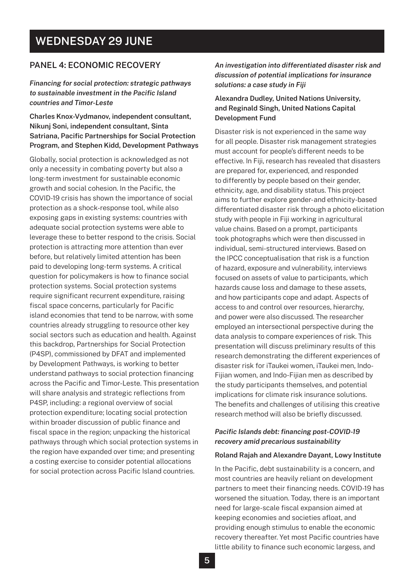# **WEDNESDAY 29 JUNE**

# **PANEL 4: ECONOMIC RECOVERY**

*Financing for social protection: strategic pathways to sustainable investment in the Pacific Island countries and Timor-Leste*

**Charles Knox-Vydmanov, independent consultant, Nikunj Soni, independent consultant, Sinta Satriana, Pacific Partnerships for Social Protection Program, and Stephen Kidd, Development Pathways**

Globally, social protection is acknowledged as not only a necessity in combating poverty but also a long-term investment for sustainable economic growth and social cohesion. In the Pacific, the COVID-19 crisis has shown the importance of social protection as a shock-response tool, while also exposing gaps in existing systems: countries with adequate social protection systems were able to leverage these to better respond to the crisis. Social protection is attracting more attention than ever before, but relatively limited attention has been paid to developing long-term systems. A critical question for policymakers is how to finance social protection systems. Social protection systems require significant recurrent expenditure, raising fiscal space concerns, particularly for Pacific island economies that tend to be narrow, with some countries already struggling to resource other key social sectors such as education and health. Against this backdrop, Partnerships for Social Protection (P4SP), commissioned by DFAT and implemented by Development Pathways, is working to better understand pathways to social protection financing across the Pacific and Timor-Leste. This presentation will share analysis and strategic reflections from P4SP, including: a regional overview of social protection expenditure; locating social protection within broader discussion of public finance and fiscal space in the region; unpacking the historical pathways through which social protection systems in the region have expanded over time; and presenting a costing exercise to consider potential allocations for social protection across Pacific Island countries.

*An investigation into differentiated disaster risk and discussion of potential implications for insurance solutions: a case study in Fiji*

# **Alexandra Dudley, United Nations University, and Reginald Singh, United Nations Capital Development Fund**

Disaster risk is not experienced in the same way for all people. Disaster risk management strategies must account for people's different needs to be effective. In Fiji, research has revealed that disasters are prepared for, experienced, and responded to differently by people based on their gender, ethnicity, age, and disability status. This project aims to further explore gender- and ethnicity-based differentiated disaster risk through a photo elicitation study with people in Fiji working in agricultural value chains. Based on a prompt, participants took photographs which were then discussed in individual, semi-structured interviews. Based on the IPCC conceptualisation that risk is a function of hazard, exposure and vulnerability, interviews focused on assets of value to participants, which hazards cause loss and damage to these assets, and how participants cope and adapt. Aspects of access to and control over resources, hierarchy, and power were also discussed. The researcher employed an intersectional perspective during the data analysis to compare experiences of risk. This presentation will discuss preliminary results of this research demonstrating the different experiences of disaster risk for iTaukei women, iTaukei men, Indo-Fijian women, and Indo-Fijian men as described by the study participants themselves, and potential implications for climate risk insurance solutions. The benefits and challenges of utilising this creative research method will also be briefly discussed.

# *Pacific Islands debt: financing post-COVID-19 recovery amid precarious sustainability*

#### **Roland Rajah and Alexandre Dayant, Lowy Institute**

In the Pacific, debt sustainability is a concern, and most countries are heavily reliant on development partners to meet their financing needs. COVID-19 has worsened the situation. Today, there is an important need for large-scale fiscal expansion aimed at keeping economies and societies afloat, and providing enough stimulus to enable the economic recovery thereafter. Yet most Pacific countries have little ability to finance such economic largess, and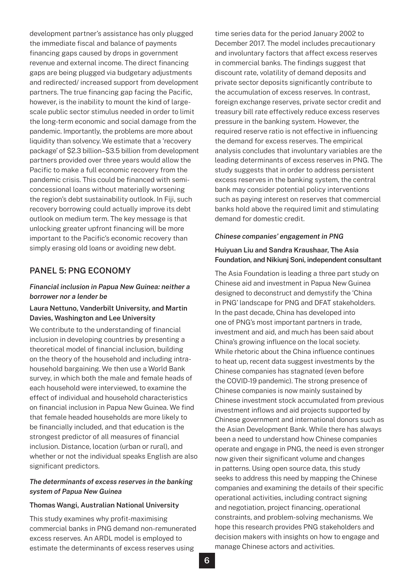development partner's assistance has only plugged the immediate fiscal and balance of payments financing gaps caused by drops in government revenue and external income. The direct financing gaps are being plugged via budgetary adjustments and redirected/ increased support from development partners. The true financing gap facing the Pacific, however, is the inability to mount the kind of largescale public sector stimulus needed in order to limit the long-term economic and social damage from the pandemic. Importantly, the problems are more about liquidity than solvency. We estimate that a 'recovery package' of \$2.3 billion–\$3.5 billion from development partners provided over three years would allow the Pacific to make a full economic recovery from the pandemic crisis. This could be financed with semiconcessional loans without materially worsening the region's debt sustainability outlook. In Fiji, such recovery borrowing could actually improve its debt outlook on medium term. The key message is that unlocking greater upfront financing will be more important to the Pacific's economic recovery than simply erasing old loans or avoiding new debt.

# **PANEL 5: PNG ECONOMY**

## *Financial inclusion in Papua New Guinea: neither a borrower nor a lender be*

## **Laura Nettuno, Vanderbilt University, and Martin Davies, Washington and Lee University**

We contribute to the understanding of financial inclusion in developing countries by presenting a theoretical model of financial inclusion, building on the theory of the household and including intrahousehold bargaining. We then use a World Bank survey, in which both the male and female heads of each household were interviewed, to examine the effect of individual and household characteristics on financial inclusion in Papua New Guinea. We find that female headed households are more likely to be financially included, and that education is the strongest predictor of all measures of financial inclusion. Distance, location (urban or rural), and whether or not the individual speaks English are also significant predictors.

# *The determinants of excess reserves in the banking system of Papua New Guinea*

#### **Thomas Wangi, Australian National University**

This study examines why profit-maximising commercial banks in PNG demand non-remunerated excess reserves. An ARDL model is employed to estimate the determinants of excess reserves using

time series data for the period January 2002 to December 2017. The model includes precautionary and involuntary factors that affect excess reserves in commercial banks. The findings suggest that discount rate, volatility of demand deposits and private sector deposits significantly contribute to the accumulation of excess reserves. In contrast, foreign exchange reserves, private sector credit and treasury bill rate effectively reduce excess reserves pressure in the banking system. However, the required reserve ratio is not effective in influencing the demand for excess reserves. The empirical analysis concludes that involuntary variables are the leading determinants of excess reserves in PNG. The study suggests that in order to address persistent excess reserves in the banking system, the central bank may consider potential policy interventions such as paying interest on reserves that commercial banks hold above the required limit and stimulating demand for domestic credit.

#### *Chinese companies' engagement in PNG*

## **Huiyuan Liu and Sandra Kraushaar, The Asia Foundation, and Nikiunj Soni, independent consultant**

The Asia Foundation is leading a three part study on Chinese aid and investment in Papua New Guinea designed to deconstruct and demystify the 'China in PNG' landscape for PNG and DFAT stakeholders. In the past decade, China has developed into one of PNG's most important partners in trade, investment and aid, and much has been said about China's growing influence on the local society. While rhetoric about the China influence continues to heat up, recent data suggest investments by the Chinese companies has stagnated (even before the COVID-19 pandemic). The strong presence of Chinese companies is now mainly sustained by Chinese investment stock accumulated from previous investment inflows and aid projects supported by Chinese government and international donors such as the Asian Development Bank. While there has always been a need to understand how Chinese companies operate and engage in PNG, the need is even stronger now given their significant volume and changes in patterns. Using open source data, this study seeks to address this need by mapping the Chinese companies and examining the details of their specific operational activities, including contract signing and negotiation, project financing, operational constraints, and problem-solving mechanisms. We hope this research provides PNG stakeholders and decision makers with insights on how to engage and manage Chinese actors and activities.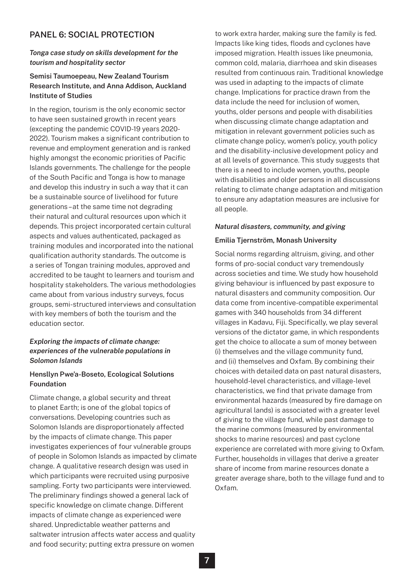# **PANEL 6: SOCIAL PROTECTION**

#### *Tonga case study on skills development for the tourism and hospitality sector*

# **Semisi Taumoepeau, New Zealand Tourism Research Institute, and Anna Addison, Auckland Institute of Studies**

In the region, tourism is the only economic sector to have seen sustained growth in recent years (excepting the pandemic COVID-19 years 2020- 2022). Tourism makes a significant contribution to revenue and employment generation and is ranked highly amongst the economic priorities of Pacific Islands governments. The challenge for the people of the South Pacific and Tonga is how to manage and develop this industry in such a way that it can be a sustainable source of livelihood for future generations – at the same time not degrading their natural and cultural resources upon which it depends. This project incorporated certain cultural aspects and values authenticated, packaged as training modules and incorporated into the national qualification authority standards. The outcome is a series of Tongan training modules, approved and accredited to be taught to learners and tourism and hospitality stakeholders. The various methodologies came about from various industry surveys, focus groups, semi-structured interviews and consultation with key members of both the tourism and the education sector.

## *Exploring the impacts of climate change: experiences of the vulnerable populations in Solomon Islands*

#### **Hensllyn Pwe'a-Boseto, Ecological Solutions Foundation**

Climate change, a global security and threat to planet Earth; is one of the global topics of conversations. Developing countries such as Solomon Islands are disproportionately affected by the impacts of climate change. This paper investigates experiences of four vulnerable groups of people in Solomon Islands as impacted by climate change. A qualitative research design was used in which participants were recruited using purposive sampling. Forty two participants were interviewed. The preliminary findings showed a general lack of specific knowledge on climate change. Different impacts of climate change as experienced were shared. Unpredictable weather patterns and saltwater intrusion affects water access and quality and food security; putting extra pressure on women

to work extra harder, making sure the family is fed. Impacts like king tides, floods and cyclones have imposed migration. Health issues like pneumonia, common cold, malaria, diarrhoea and skin diseases resulted from continuous rain. Traditional knowledge was used in adapting to the impacts of climate change. Implications for practice drawn from the data include the need for inclusion of women, youths, older persons and people with disabilities when discussing climate change adaptation and mitigation in relevant government policies such as climate change policy, women's policy, youth policy and the disability-inclusive development policy and at all levels of governance. This study suggests that there is a need to include women, youths, people with disabilities and older persons in all discussions relating to climate change adaptation and mitigation to ensure any adaptation measures are inclusive for all people.

#### *Natural disasters, community, and giving*

#### **Emilia Tjernström, Monash University**

Social norms regarding altruism, giving, and other forms of pro-social conduct vary tremendously across societies and time. We study how household giving behaviour is influenced by past exposure to natural disasters and community composition. Our data come from incentive-compatible experimental games with 340 households from 34 different villages in Kadavu, Fiji. Specifically, we play several versions of the dictator game, in which respondents get the choice to allocate a sum of money between (i) themselves and the village community fund, and (ii) themselves and Oxfam. By combining their choices with detailed data on past natural disasters, household-level characteristics, and village-level characteristics, we find that private damage from environmental hazards (measured by fire damage on agricultural lands) is associated with a greater level of giving to the village fund, while past damage to the marine commons (measured by environmental shocks to marine resources) and past cyclone experience are correlated with more giving to Oxfam. Further, households in villages that derive a greater share of income from marine resources donate a greater average share, both to the village fund and to Oxfam.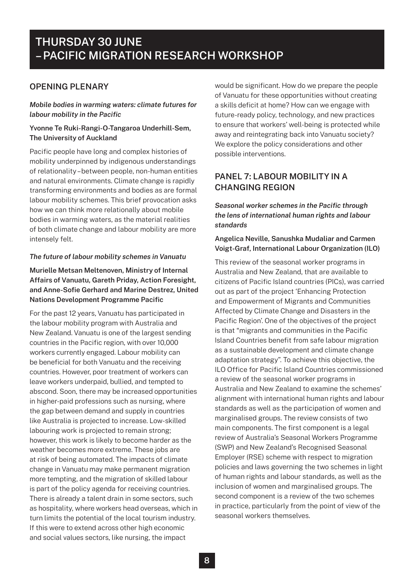# **OPENING PLENARY**

*Mobile bodies in warming waters: climate futures for labour mobility in the Pacific* 

# **Yvonne Te Ruki-Rangi-O-Tangaroa Underhill-Sem, The University of Auckland**

Pacific people have long and complex histories of mobility underpinned by indigenous understandings of relationality – between people, non-human entities and natural environments. Climate change is rapidly transforming environments and bodies as are formal labour mobility schemes. This brief provocation asks how we can think more relationally about mobile bodies in warming waters, as the material realities of both climate change and labour mobility are more intensely felt.

## *The future of labour mobility schemes in Vanuatu*

# **Murielle Metsan Meltenoven, Ministry of Internal Affairs of Vanuatu, Gareth Priday, Action Foresight, and Anne-Sofie Gerhard and Marine Destrez, United Nations Development Programme Pacific**

For the past 12 years, Vanuatu has participated in the labour mobility program with Australia and New Zealand. Vanuatu is one of the largest sending countries in the Pacific region, with over 10,000 workers currently engaged. Labour mobility can be beneficial for both Vanuatu and the receiving countries. However, poor treatment of workers can leave workers underpaid, bullied, and tempted to abscond. Soon, there may be increased opportunities in higher-paid professions such as nursing, where the gap between demand and supply in countries like Australia is projected to increase. Low-skilled labouring work is projected to remain strong; however, this work is likely to become harder as the weather becomes more extreme. These jobs are at risk of being automated. The impacts of climate change in Vanuatu may make permanent migration more tempting, and the migration of skilled labour is part of the policy agenda for receiving countries. There is already a talent drain in some sectors, such as hospitality, where workers head overseas, which in turn limits the potential of the local tourism industry. If this were to extend across other high economic and social values sectors, like nursing, the impact

would be significant. How do we prepare the people of Vanuatu for these opportunities without creating a skills deficit at home? How can we engage with future-ready policy, technology, and new practices to ensure that workers' well-being is protected while away and reintegrating back into Vanuatu society? We explore the policy considerations and other possible interventions.

# **PANEL 7: LABOUR MOBILITY IN A CHANGING REGION**

*Seasonal worker schemes in the Pacific through the lens of international human rights and labour standards*

## **Angelica Neville, Sanushka Mudaliar and Carmen Voigt-Graf, International Labour Organization (ILO)**

This review of the seasonal worker programs in Australia and New Zealand, that are available to citizens of Pacific Island countries (PICs), was carried out as part of the project 'Enhancing Protection and Empowerment of Migrants and Communities Affected by Climate Change and Disasters in the Pacific Region'. One of the objectives of the project is that "migrants and communities in the Pacific Island Countries benefit from safe labour migration as a sustainable development and climate change adaptation strategy". To achieve this objective, the ILO Office for Pacific Island Countries commissioned a review of the seasonal worker programs in Australia and New Zealand to examine the schemes' alignment with international human rights and labour standards as well as the participation of women and marginalised groups. The review consists of two main components. The first component is a legal review of Australia's Seasonal Workers Programme (SWP) and New Zealand's Recognised Seasonal Employer (RSE) scheme with respect to migration policies and laws governing the two schemes in light of human rights and labour standards, as well as the inclusion of women and marginalised groups. The second component is a review of the two schemes in practice, particularly from the point of view of the seasonal workers themselves.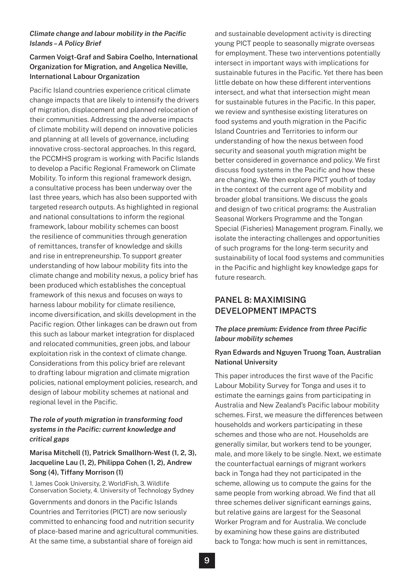# *Climate change and labour mobility in the Pacific Islands – A Policy Brief*

# **Carmen Voigt-Graf and Sabira Coelho, International Organization for Migration, and Angelica Neville, International Labour Organization**

Pacific Island countries experience critical climate change impacts that are likely to intensify the drivers of migration, displacement and planned relocation of their communities. Addressing the adverse impacts of climate mobility will depend on innovative policies and planning at all levels of governance, including innovative cross-sectoral approaches. In this regard, the PCCMHS program is working with Pacific Islands to develop a Pacific Regional Framework on Climate Mobility. To inform this regional framework design, a consultative process has been underway over the last three years, which has also been supported with targeted research outputs. As highlighted in regional and national consultations to inform the regional framework, labour mobility schemes can boost the resilience of communities through generation of remittances, transfer of knowledge and skills and rise in entrepreneurship. To support greater understanding of how labour mobility fits into the climate change and mobility nexus, a policy brief has been produced which establishes the conceptual framework of this nexus and focuses on ways to harness labour mobility for climate resilience, income diversification, and skills development in the Pacific region. Other linkages can be drawn out from this such as labour market integration for displaced and relocated communities, green jobs, and labour exploitation risk in the context of climate change. Considerations from this policy brief are relevant to drafting labour migration and climate migration policies, national employment policies, research, and design of labour mobility schemes at national and regional level in the Pacific.

# *The role of youth migration in transforming food systems in the Pacific: current knowledge and critical gaps*

# **Marisa Mitchell (1), Patrick Smallhorn-West (1, 2, 3), Jacqueline Lau (1, 2), Philippa Cohen (1, 2), Andrew Song (4), Tiffany Morrison (1)**

1. James Cook University, 2. WorldFish, 3. Wildlife Conservation Society, 4. University of Technology Sydney

Governments and donors in the Pacific Islands Countries and Territories (PICT) are now seriously committed to enhancing food and nutrition security of place-based marine and agricultural communities. At the same time, a substantial share of foreign aid

and sustainable development activity is directing young PICT people to seasonally migrate overseas for employment. These two interventions potentially intersect in important ways with implications for sustainable futures in the Pacific. Yet there has been little debate on how these different interventions intersect, and what that intersection might mean for sustainable futures in the Pacific. In this paper, we review and synthesise existing literatures on food systems and youth migration in the Pacific Island Countries and Territories to inform our understanding of how the nexus between food security and seasonal youth migration might be better considered in governance and policy. We first discuss food systems in the Pacific and how these are changing. We then explore PICT youth of today in the context of the current age of mobility and broader global transitions. We discuss the goals and design of two critical programs: the Australian Seasonal Workers Programme and the Tongan Special (Fisheries) Management program. Finally, we isolate the interacting challenges and opportunities of such programs for the long-term security and sustainability of local food systems and communities in the Pacific and highlight key knowledge gaps for future research.

# **PANEL 8: MAXIMISING DEVELOPMENT IMPACTS**

# *The place premium: Evidence from three Pacific labour mobility schemes*

# **Ryan Edwards and Nguyen Truong Toan, Australian National University**

This paper introduces the first wave of the Pacific Labour Mobility Survey for Tonga and uses it to estimate the earnings gains from participating in Australia and New Zealand's Pacific labour mobility schemes. First, we measure the differences between households and workers participating in these schemes and those who are not. Households are generally similar, but workers tend to be younger, male, and more likely to be single. Next, we estimate the counterfactual earnings of migrant workers back in Tonga had they not participated in the scheme, allowing us to compute the gains for the same people from working abroad. We find that all three schemes deliver significant earnings gains, but relative gains are largest for the Seasonal Worker Program and for Australia. We conclude by examining how these gains are distributed back to Tonga: how much is sent in remittances,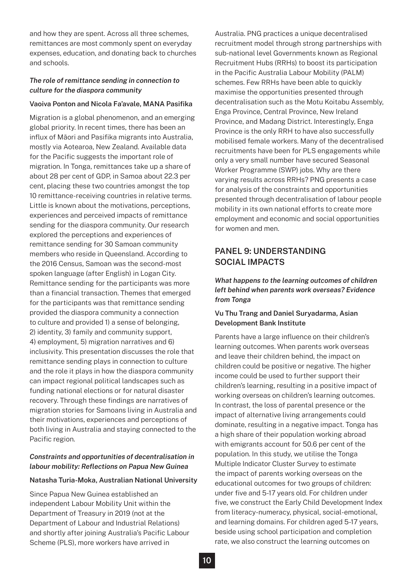and how they are spent. Across all three schemes, remittances are most commonly spent on everyday expenses, education, and donating back to churches and schools.

# *The role of remittance sending in connection to culture for the diaspora community*

#### **Vaoiva Ponton and Nicola Fa'avale, MANA Pasifika**

Migration is a global phenomenon, and an emerging global priority. In recent times, there has been an influx of Māori and Pasifika migrants into Australia, mostly via Aotearoa, New Zealand. Available data for the Pacific suggests the important role of migration. In Tonga, remittances take up a share of about 28 per cent of GDP, in Samoa about 22.3 per cent, placing these two countries amongst the top 10 remittance-receiving countries in relative terms. Little is known about the motivations, perceptions, experiences and perceived impacts of remittance sending for the diaspora community. Our research explored the perceptions and experiences of remittance sending for 30 Samoan community members who reside in Queensland. According to the 2016 Census, Samoan was the second-most spoken language (after English) in Logan City. Remittance sending for the participants was more than a financial transaction. Themes that emerged for the participants was that remittance sending provided the diaspora community a connection to culture and provided 1) a sense of belonging, 2) identity, 3) family and community support, 4) employment, 5) migration narratives and 6) inclusivity. This presentation discusses the role that remittance sending plays in connection to culture and the role it plays in how the diaspora community can impact regional political landscapes such as funding national elections or for natural disaster recovery. Through these findings are narratives of migration stories for Samoans living in Australia and their motivations, experiences and perceptions of both living in Australia and staying connected to the Pacific region.

# *Constraints and opportunities of decentralisation in labour mobility: Reflections on Papua New Guinea*

#### **Natasha Turia-Moka, Australian National University**

Since Papua New Guinea established an independent Labour Mobility Unit within the Department of Treasury in 2019 (not at the Department of Labour and Industrial Relations) and shortly after joining Australia's Pacific Labour Scheme (PLS), more workers have arrived in

Australia. PNG practices a unique decentralised recruitment model through strong partnerships with sub-national level Governments known as Regional Recruitment Hubs (RRHs) to boost its participation in the Pacific Australia Labour Mobility (PALM) schemes. Few RRHs have been able to quickly maximise the opportunities presented through decentralisation such as the Motu Koitabu Assembly, Enga Province, Central Province, New Ireland Province, and Madang District. Interestingly, Enga Province is the only RRH to have also successfully mobilised female workers. Many of the decentralised recruitments have been for PLS engagements while only a very small number have secured Seasonal Worker Programme (SWP) jobs. Why are there varying results across RRHs? PNG presents a case for analysis of the constraints and opportunities presented through decentralisation of labour people mobility in its own national efforts to create more employment and economic and social opportunities for women and men.

# **PANEL 9: UNDERSTANDING SOCIAL IMPACTS**

*What happens to the learning outcomes of children left behind when parents work overseas? Evidence from Tonga*

# **Vu Thu Trang and Daniel Suryadarma, Asian Development Bank Institute**

Parents have a large influence on their children's learning outcomes. When parents work overseas and leave their children behind, the impact on children could be positive or negative. The higher income could be used to further support their children's learning, resulting in a positive impact of working overseas on children's learning outcomes. In contrast, the loss of parental presence or the impact of alternative living arrangements could dominate, resulting in a negative impact. Tonga has a high share of their population working abroad with emigrants account for 50.6 per cent of the population. In this study, we utilise the Tonga Multiple Indicator Cluster Survey to estimate the impact of parents working overseas on the educational outcomes for two groups of children: under five and 5-17 years old. For children under five, we construct the Early Child Development Index from literacy-numeracy, physical, social-emotional, and learning domains. For children aged 5-17 years, beside using school participation and completion rate, we also construct the learning outcomes on